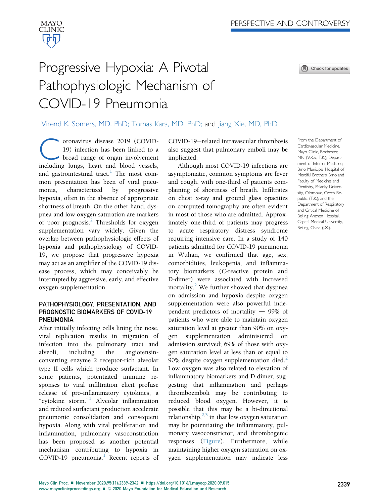

Check for updates

# Progressive Hypoxia: A Pivotal Pathophysiologic Mechanism of COVID-19 Pneumonia

## Virend K. Somers, MD, PhD; Tomas Kara, MD, PhD; and Jiang Xie, MD, PhD

**Coronavirus disease 2019 (COVID-19)** infection has been linked to a broad range of organ involvement including lungs, heart and blood vessels, 19) infection has been linked to a broad range of organ involvement and gastrointestinal tract. $\frac{1}{1}$  $\frac{1}{1}$  $\frac{1}{1}$  The most common presentation has been of viral pneumonia, characterized by progressive hypoxia, often in the absence of appropriate shortness of breath. On the other hand, dyspnea and low oxygen saturation are markers of poor prognosis.<sup>[2](#page-3-1)</sup> Thresholds for oxygen supplementation vary widely. Given the overlap between pathophysiologic effects of hypoxia and pathophysiology of COVID-19, we propose that progressive hypoxia may act as an amplifier of the COVID-19 disease process, which may conceivably be interrupted by aggressive, early, and effective oxygen supplementation.

## PATHOPHYSIOLOGY, PRESENTATION, AND PROGNOSTIC BIOMARKERS OF COVID-19 **PNFUMONIA**

After initially infecting cells lining the nose, viral replication results in migration of infection into the pulmonary tract and alveoli, including the angiotensinconverting enzyme 2 receptor-rich alveolar type II cells which produce surfactant. In some patients, potentiated immune responses to viral infiltration elicit profuse release of pro-inflammatory cytokines, a "cytokine storm." [1](#page-3-0) Alveolar inflammation and reduced surfactant production accelerate pneumonic consolidation and consequent hypoxia. Along with viral proliferation and inflammation, pulmonary vasoconstriction has been proposed as another potential mechanism contributing to hypoxia in COVID-[1](#page-3-0)9 pneumonia. $<sup>1</sup>$  Recent reports of</sup> COVID-19-related intravascular thrombosis also suggest that pulmonary emboli may be implicated.

Although most COVID-19 infections are asymptomatic, common symptoms are fever and cough, with one-third of patients complaining of shortness of breath. Infiltrates on chest x-ray and ground glass opacities on computed tomography are often evident in most of those who are admitted. Approximately one-third of patients may progress to acute respiratory distress syndrome requiring intensive care. In a study of 140 patients admitted for COVID-19 pneumonia in Wuhan, we confirmed that age, sex, comorbidities, leukopenia, and inflammatory biomarkers (C-reactive protein and D-dimer) were associated with increased mortality.<sup>[2](#page-3-1)</sup> We further showed that dyspnea on admission and hypoxia despite oxygen supplementation were also powerful independent predictors of mortality  $-$  99% of patients who were able to maintain oxygen saturation level at greater than 90% on oxygen supplementation administered on admission survived; 69% of those with oxygen saturation level at less than or equal to 90% despite oxygen supplementation died.<sup>[2](#page-3-1)</sup> Low oxygen was also related to elevation of inflammatory biomarkers and D-dimer, suggesting that inflammation and perhaps thromboemboli may be contributing to reduced blood oxygen. However, it is possible that this may be a bi-directional relationship, $2,3$  $2,3$  in that low oxygen saturation may be potentiating the inflammatory, pulmonary vasoconstrictor, and thrombogenic responses ([Figure\)](#page-1-0). Furthermore, while maintaining higher oxygen saturation on oxygen supplementation may indicate less

Cardiovascular Medicine, Mayo Clinic, Rochester, MN (V.K.S., T.K.); Department of Internal Medicine, Brno Municipal Hospital of Merciful Brothers, Brno and Faculty of Medicine and Dentistry, Palacky University, Olomouc, Czech Republic (T.K); and the Department of Respiratory and Critical Medicine of Beijing Anzhen Hospital, Capital Medical University, Beijing, China (J.X.).

From the Department of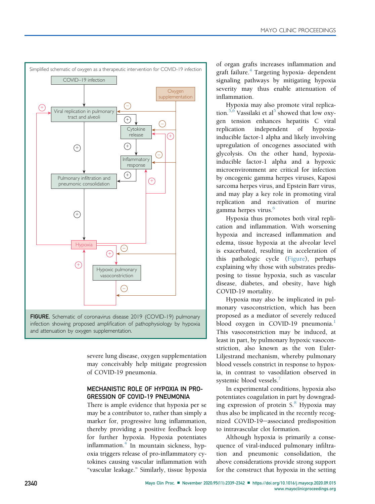<span id="page-1-0"></span>

FIGURE. Schematic of coronavirus disease 2019 (COVID-19) pulmonary infection showing proposed amplification of pathophysiology by hypoxia and attenuation by oxygen supplementation.

severe lung disease, oxygen supplementation may conceivably help mitigate progression of COVID-19 pneumonia.

## MECHANISTIC ROLE OF HYPOXIA IN PRO-GRESSION OF COVID-19 PNEUMONIA

There is ample evidence that hypoxia per se may be a contributor to, rather than simply a marker for, progressive lung inflammation, thereby providing a positive feedback loop for further hypoxia. Hypoxia potentiates inflammation. $4$  In mountain sickness, hypoxia triggers release of pro-inflammatory cytokines causing vascular inflammation with "vascular leakage." Similarly, tissue hypoxia of organ grafts increases inflammation and graft failure.<sup>[4](#page-3-3)</sup> Targeting hypoxia- dependent signaling pathways by mitigating hypoxia severity may thus enable attenuation of inflammation.

Hypoxia may also promote viral replica-tion.<sup>[5](#page-3-4)[,6](#page-3-5)</sup> Vassilaki et al<sup>5</sup> showed that low oxygen tension enhances hepatitis C viral replication independent of hypoxiainducible factor-1 alpha and likely involving upregulation of oncogenes associated with glycolysis. On the other hand, hypoxiainducible factor-1 alpha and a hypoxic microenvironment are critical for infection by oncogenic gamma herpes viruses, Kaposi sarcoma herpes virus, and Epstein Barr virus, and may play a key role in promoting viral replication and reactivation of murine gamma herpes virus.<sup>[6](#page-3-5)</sup>

Hypoxia thus promotes both viral replication and inflammation. With worsening hypoxia and increased inflammation and edema, tissue hypoxia at the alveolar level is exacerbated, resulting in acceleration of this pathologic cycle ([Figure\)](#page-1-0), perhaps explaining why those with substrates predisposing to tissue hypoxia, such as vascular disease, diabetes, and obesity, have high COVID-19 mortality.

Hypoxia may also be implicated in pulmonary vasoconstriction, which has been proposed as a mediator of severely reduced blood oxygen in COVID-[1](#page-3-0)9 pneumonia.<sup>1</sup> This vasoconstriction may be induced, at least in part, by pulmonary hypoxic vasoconstriction, also known as the von Euler-Liljestrand mechanism, whereby pulmonary blood vessels constrict in response to hypoxia, in contrast to vasodilation observed in systemic blood vessels.<sup>[7](#page-3-6)</sup>

In experimental conditions, hypoxia also potentiates coagulation in part by downgrad-ing expression of protein S.<sup>[8](#page-3-7)</sup> Hypoxia may thus also be implicated in the recently recognized COVID-19-associated predisposition to intravascular clot formation.

Although hypoxia is primarily a consequence of viral-induced pulmonary infiltration and pneumonic consolidation, the above considerations provide strong support for the construct that hypoxia in the setting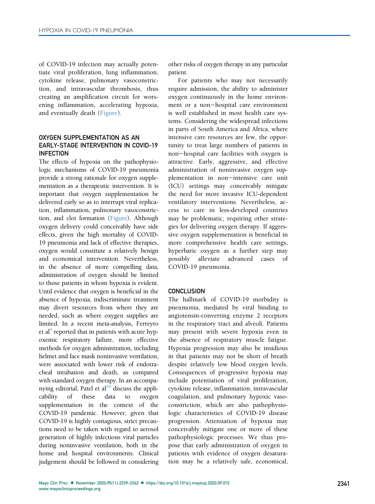of COVID-19 infection may actually potentiate viral proliferation, lung inflammation, cytokine release, pulmonary vasoconstriction, and intravascular thrombosis, thus creating an amplification circuit for worsening inflammation, accelerating hypoxia, and eventually death ([Figure](#page-1-0)).

## OXYGEN SUPPLEMENTATION AS AN EARLY-STAGE INTERVENTION IN COVID-19 **INFECTION**

The effects of hypoxia on the pathophysiologic mechanisms of COVID-19 pneumonia provide a strong rationale for oxygen supplementation as a therapeutic intervention. It is important that oxygen supplementation be delivered early so as to interrupt viral replication, inflammation, pulmonary vasoconstriction, and clot formation [\(Figure](#page-1-0)). Although oxygen delivery could conceivably have side effects, given the high mortality of COVID-19 pneumonia and lack of effective therapies, oxygen would constitute a relatively benign and economical intervention. Nevertheless, in the absence of more compelling data, administration of oxygen should be limited to those patients in whom hypoxia is evident. Until evidence that oxygen is beneficial in the absence of hypoxia, indiscriminate treatment may divert resources from where they are needed, such as where oxygen supplies are limited. In a recent meta-analysis, Ferreyro et al<sup>9</sup> reported that in patients with acute hypoxemic respiratory failure, more effective methods for oxygen administration, including helmet and face mask noninvasive ventilation, were associated with lower risk of endotracheal intubation and death, as compared with standard oxygen therapy. In an accompanying editorial, Patel et  $al<sup>10</sup>$  discuss the applicability of these data to oxygen supplementation in the context of the COVID-19 pandemic. However, given that COVID-19 is highly contagious, strict precautions need to be taken with regard to aerosol generation of highly infectious viral particles during noninvasive ventilation, both in the home and hospital environments. Clinical judgement should be followed in considering other risks of oxygen therapy in any particular patient.

For patients who may not necessarily require admission, the ability to administer oxygen continuously in the home environment or a non-hospital care environment is well established in most health care systems. Considering the widespread infections in parts of South America and Africa, where intensive care resources are few, the opportunity to treat large numbers of patients in non-hospital care facilities with oxygen is attractive. Early, aggressive, and effective administration of noninvasive oxygen supplementation in non-intensive care unit (ICU) settings may conceivably mitigate the need for more invasive ICU-dependent ventilatory interventions. Nevertheless, access to care in less-developed countries may be problematic, requiring other strategies for delivering oxygen therapy. If aggressive oxygen supplementation is beneficial in more comprehensive health care settings, hyperbaric oxygen as a further step may possibly alleviate advanced cases of COVID-19 pneumonia.

#### **CONCLUSION**

The hallmark of COVID-19 morbidity is pneumonia, mediated by viral binding to angiotensin-converting enzyme 2 receptors in the respiratory tract and alveoli. Patients may present with severe hypoxia even in the absence of respiratory muscle fatigue. Hypoxia progression may also be insidious in that patients may not be short of breath despite relatively low blood oxygen levels. Consequences of progressive hypoxia may include potentiation of viral proliferation, cytokine release, inflammation, intravascular coagulation, and pulmonary hypoxic vasoconstriction, which are also pathophysiologic characteristics of COVID-19 disease progression. Attenuation of hypoxia may conceivably mitigate one or more of these pathophysiologic processes. We thus propose that early administration of oxygen in patients with evidence of oxygen desaturation may be a relatively safe, economical,